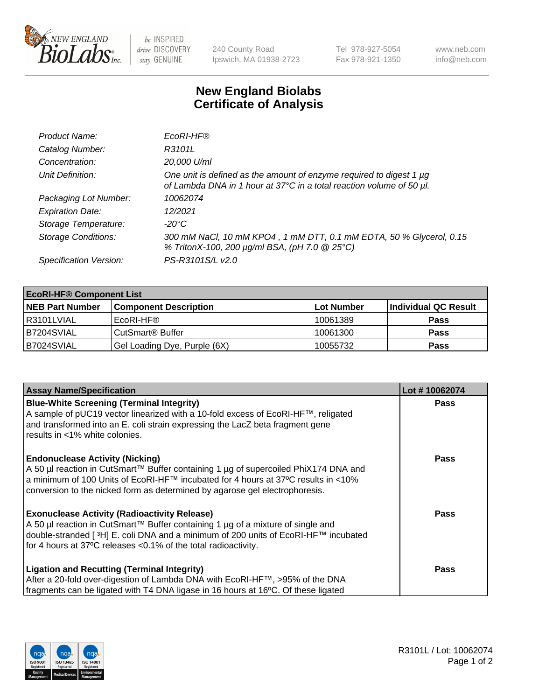

 $be$  INSPIRED drive DISCOVERY stay GENUINE

240 County Road Ipswich, MA 01938-2723 Tel 978-927-5054 Fax 978-921-1350 www.neb.com info@neb.com

## **New England Biolabs Certificate of Analysis**

| Product Name:              | EcoRI-HF®                                                                                                                                   |
|----------------------------|---------------------------------------------------------------------------------------------------------------------------------------------|
| Catalog Number:            | R3101L                                                                                                                                      |
| Concentration:             | 20,000 U/ml                                                                                                                                 |
| Unit Definition:           | One unit is defined as the amount of enzyme required to digest 1 µg<br>of Lambda DNA in 1 hour at 37°C in a total reaction volume of 50 µl. |
| Packaging Lot Number:      | 10062074                                                                                                                                    |
| <b>Expiration Date:</b>    | 12/2021                                                                                                                                     |
| Storage Temperature:       | -20°C                                                                                                                                       |
| <b>Storage Conditions:</b> | 300 mM NaCl, 10 mM KPO4, 1 mM DTT, 0.1 mM EDTA, 50 % Glycerol, 0.15<br>% TritonX-100, 200 µg/ml BSA, (pH 7.0 @ 25°C)                        |
| Specification Version:     | PS-R3101S/L v2.0                                                                                                                            |

| <b>EcoRI-HF® Component List</b> |                              |            |                      |  |  |
|---------------------------------|------------------------------|------------|----------------------|--|--|
| <b>NEB Part Number</b>          | <b>Component Description</b> | Lot Number | Individual QC Result |  |  |
| R3101LVIAL                      | EcoRI-HF®                    | 10061389   | <b>Pass</b>          |  |  |
| B7204SVIAL                      | CutSmart <sup>®</sup> Buffer | 10061300   | <b>Pass</b>          |  |  |
| IB7024SVIAL                     | Gel Loading Dye, Purple (6X) | 10055732   | <b>Pass</b>          |  |  |

| <b>Assay Name/Specification</b>                                                                                                                                                                                                                                                                                                       | Lot #10062074 |
|---------------------------------------------------------------------------------------------------------------------------------------------------------------------------------------------------------------------------------------------------------------------------------------------------------------------------------------|---------------|
| <b>Blue-White Screening (Terminal Integrity)</b><br>A sample of pUC19 vector linearized with a 10-fold excess of EcoRI-HF™, religated<br>and transformed into an E. coli strain expressing the LacZ beta fragment gene                                                                                                                | <b>Pass</b>   |
| results in <1% white colonies.<br><b>Endonuclease Activity (Nicking)</b><br>A 50 µl reaction in CutSmart™ Buffer containing 1 µg of supercoiled PhiX174 DNA and<br>  a minimum of 100 Units of EcoRI-HF™ incubated for 4 hours at 37°C results in <10%<br>conversion to the nicked form as determined by agarose gel electrophoresis. | <b>Pass</b>   |
| <b>Exonuclease Activity (Radioactivity Release)</b><br>  A 50 µl reaction in CutSmart™ Buffer containing 1 µg of a mixture of single and<br>double-stranded [ <sup>3</sup> H] E. coli DNA and a minimum of 200 units of EcoRI-HF™ incubated<br>for 4 hours at 37°C releases <0.1% of the total radioactivity.                         | Pass          |
| <b>Ligation and Recutting (Terminal Integrity)</b><br>After a 20-fold over-digestion of Lambda DNA with EcoRI-HF™, >95% of the DNA<br>fragments can be ligated with T4 DNA ligase in 16 hours at 16°C. Of these ligated                                                                                                               | <b>Pass</b>   |